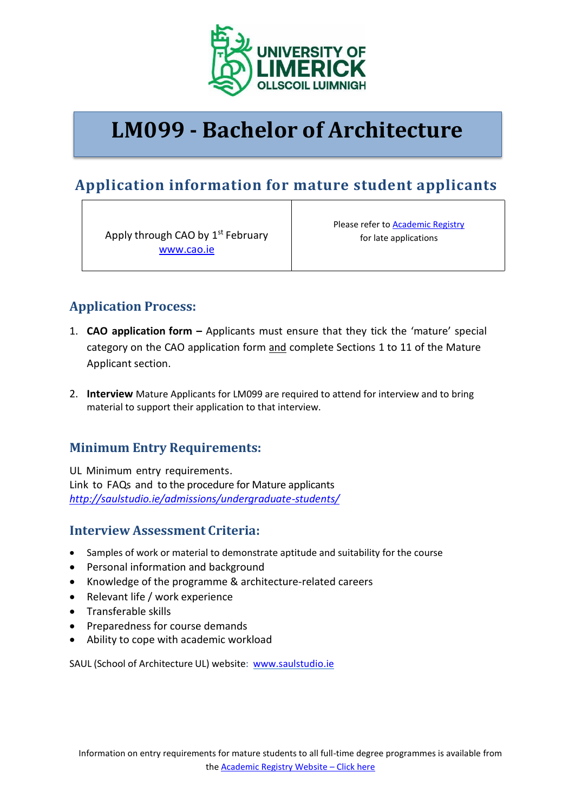

# **LM099 - Bachelor of Architecture**

# **Application information for mature student applicants**

Apply through CAO by 1<sup>st</sup> February [www.cao.ie](http://www.cao.ie/)

Please refer to **Academic Registry** for late applications

## **Application Process:**

- 1. **CAO application form –** Applicants must ensure that they tick the 'mature' special category on the CAO application form and complete Sections 1 to 11 of the Mature Applicant section.
- 2. **Interview** Mature Applicants for LM099 are required to attend for interview and to bring material to support their application to that interview.

### **Minimum Entry Requirements:**

UL Minimum entry requirements. Link to FAQs and to the procedure for Mature applicants *<http://saulstudio.ie/admissions/undergraduate-students/>*

### **Interview Assessment Criteria:**

- Samples of work or material to demonstrate aptitude and suitability for the course
- Personal information and background
- Knowledge of the programme & architecture-related careers
- Relevant life / work experience
- Transferable skills
- Preparedness for course demands
- Ability to cope with academic workload

SAUL (School of Architecture UL) website: [www.saulstudio.ie](http://www.saulstudio.ie/)